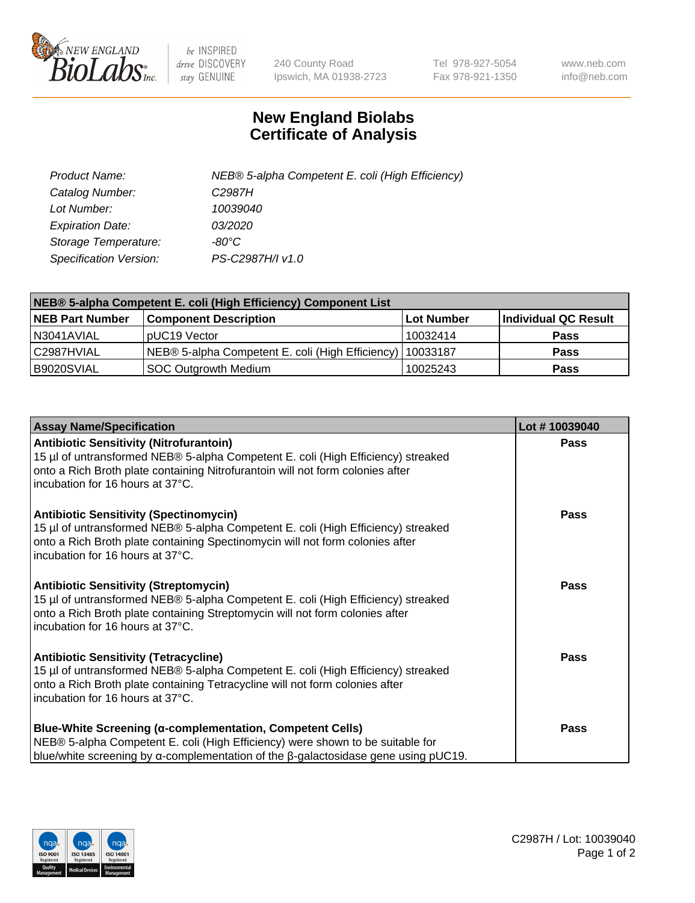

 $be$  INSPIRED drive DISCOVERY stay GENUINE

240 County Road Ipswich, MA 01938-2723 Tel 978-927-5054 Fax 978-921-1350 www.neb.com info@neb.com

## **New England Biolabs Certificate of Analysis**

| Product Name:           | NEB® 5-alpha Competent E. coli (High Efficiency) |
|-------------------------|--------------------------------------------------|
| Catalog Number:         | C <sub>2987</sub> H                              |
| Lot Number:             | 10039040                                         |
| <b>Expiration Date:</b> | <i>03/2020</i>                                   |
| Storage Temperature:    | -80°C                                            |
| Specification Version:  | PS-C2987H/I v1.0                                 |

| NEB® 5-alpha Competent E. coli (High Efficiency) Component List |                                                             |                   |                      |  |
|-----------------------------------------------------------------|-------------------------------------------------------------|-------------------|----------------------|--|
| <b>NEB Part Number</b>                                          | <b>Component Description</b>                                | <b>Lot Number</b> | Individual QC Result |  |
| N3041AVIAL                                                      | pUC19 Vector                                                | 10032414          | <b>Pass</b>          |  |
| C2987HVIAL                                                      | NEB® 5-alpha Competent E. coli (High Efficiency)   10033187 |                   | <b>Pass</b>          |  |
| B9020SVIAL                                                      | SOC Outgrowth Medium                                        | 10025243          | <b>Pass</b>          |  |

| <b>Assay Name/Specification</b>                                                                                                                                                                                                                          | Lot #10039040 |
|----------------------------------------------------------------------------------------------------------------------------------------------------------------------------------------------------------------------------------------------------------|---------------|
| <b>Antibiotic Sensitivity (Nitrofurantoin)</b><br>15 µl of untransformed NEB® 5-alpha Competent E. coli (High Efficiency) streaked<br>onto a Rich Broth plate containing Nitrofurantoin will not form colonies after<br>incubation for 16 hours at 37°C. | <b>Pass</b>   |
| <b>Antibiotic Sensitivity (Spectinomycin)</b><br>15 µl of untransformed NEB® 5-alpha Competent E. coli (High Efficiency) streaked<br>onto a Rich Broth plate containing Spectinomycin will not form colonies after<br>incubation for 16 hours at 37°C.   | <b>Pass</b>   |
| <b>Antibiotic Sensitivity (Streptomycin)</b><br>15 µl of untransformed NEB® 5-alpha Competent E. coli (High Efficiency) streaked<br>onto a Rich Broth plate containing Streptomycin will not form colonies after<br>incubation for 16 hours at 37°C.     | Pass          |
| <b>Antibiotic Sensitivity (Tetracycline)</b><br>15 µl of untransformed NEB® 5-alpha Competent E. coli (High Efficiency) streaked<br>onto a Rich Broth plate containing Tetracycline will not form colonies after<br>incubation for 16 hours at 37°C.     | <b>Pass</b>   |
| <b>Blue-White Screening (α-complementation, Competent Cells)</b><br>NEB® 5-alpha Competent E. coli (High Efficiency) were shown to be suitable for<br>blue/white screening by $\alpha$ -complementation of the $\beta$ -galactosidase gene using pUC19.  | <b>Pass</b>   |